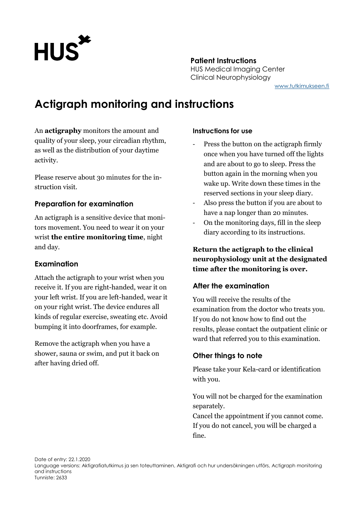

# **Patient Instructions** HUS Medical Imaging Center Clinical Neurophysiology

[www.tutkimukseen.fi](http://www.tutkimukseen.fi/)

# **Actigraph monitoring and instructions**

An **actigraphy** monitors the amount and quality of your sleep, your circadian rhythm, as well as the distribution of your daytime activity.

Please reserve about 30 minutes for the instruction visit.

## **Preparation for examination**

An actigraph is a sensitive device that monitors movement. You need to wear it on your wrist **the entire monitoring time**, night and day.

## **Examination**

Attach the actigraph to your wrist when you receive it. If you are right-handed, wear it on your left wrist. If you are left-handed, wear it on your right wrist. The device endures all kinds of regular exercise, sweating etc. Avoid bumping it into doorframes, for example.

Remove the actigraph when you have a shower, sauna or swim, and put it back on after having dried off.

#### **Instructions for use**

- Press the button on the actigraph firmly once when you have turned off the lights and are about to go to sleep. Press the button again in the morning when you wake up. Write down these times in the reserved sections in your sleep diary.
- Also press the button if you are about to have a nap longer than 20 minutes.
- On the monitoring days, fill in the sleep diary according to its instructions.

**Return the actigraph to the clinical neurophysiology unit at the designated time after the monitoring is over.**

## **After the examination**

You will receive the results of the examination from the doctor who treats you. If you do not know how to find out the results, please contact the outpatient clinic or ward that referred you to this examination.

## **Other things to note**

Please take your Kela-card or identification with you.

You will not be charged for the examination separately.

Cancel the appointment if you cannot come. If you do not cancel, you will be charged a fine.